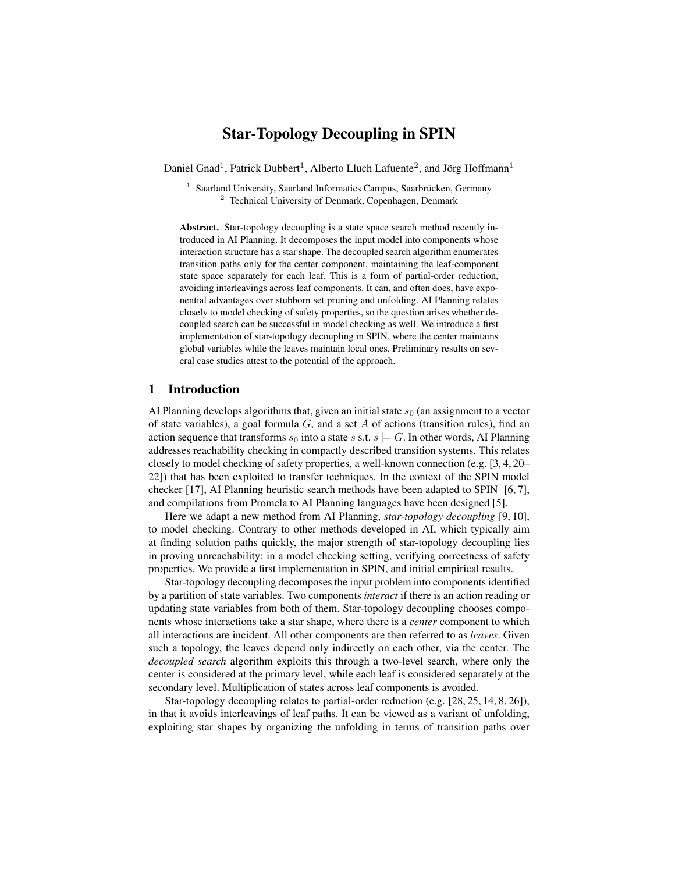# Star-Topology Decoupling in SPIN

Daniel Gnad<sup>1</sup>, Patrick Dubbert<sup>1</sup>, Alberto Lluch Lafuente<sup>2</sup>, and Jörg Hoffmann<sup>1</sup>

<sup>1</sup> Saarland University, Saarland Informatics Campus, Saarbrücken, Germany <sup>2</sup> Technical University of Denmark, Copenhagen, Denmark

Abstract. Star-topology decoupling is a state space search method recently introduced in AI Planning. It decomposes the input model into components whose interaction structure has a star shape. The decoupled search algorithm enumerates transition paths only for the center component, maintaining the leaf-component state space separately for each leaf. This is a form of partial-order reduction, avoiding interleavings across leaf components. It can, and often does, have exponential advantages over stubborn set pruning and unfolding. AI Planning relates closely to model checking of safety properties, so the question arises whether decoupled search can be successful in model checking as well. We introduce a first implementation of star-topology decoupling in SPIN, where the center maintains global variables while the leaves maintain local ones. Preliminary results on several case studies attest to the potential of the approach.

### 1 Introduction

AI Planning develops algorithms that, given an initial state  $s<sub>0</sub>$  (an assignment to a vector of state variables), a goal formula  $G$ , and a set  $A$  of actions (transition rules), find an action sequence that transforms  $s_0$  into a state s s.t.  $s \models G$ . In other words, AI Planning addresses reachability checking in compactly described transition systems. This relates closely to model checking of safety properties, a well-known connection (e.g. [3, 4, 20– 22]) that has been exploited to transfer techniques. In the context of the SPIN model checker [17], AI Planning heuristic search methods have been adapted to SPIN [6, 7], and compilations from Promela to AI Planning languages have been designed [5].

Here we adapt a new method from AI Planning, *star-topology decoupling* [9, 10], to model checking. Contrary to other methods developed in AI, which typically aim at finding solution paths quickly, the major strength of star-topology decoupling lies in proving unreachability: in a model checking setting, verifying correctness of safety properties. We provide a first implementation in SPIN, and initial empirical results.

Star-topology decoupling decomposes the input problem into components identified by a partition of state variables. Two components *interact* if there is an action reading or updating state variables from both of them. Star-topology decoupling chooses components whose interactions take a star shape, where there is a *center* component to which all interactions are incident. All other components are then referred to as *leaves*. Given such a topology, the leaves depend only indirectly on each other, via the center. The *decoupled search* algorithm exploits this through a two-level search, where only the center is considered at the primary level, while each leaf is considered separately at the secondary level. Multiplication of states across leaf components is avoided.

Star-topology decoupling relates to partial-order reduction (e.g. [28, 25, 14, 8, 26]), in that it avoids interleavings of leaf paths. It can be viewed as a variant of unfolding, exploiting star shapes by organizing the unfolding in terms of transition paths over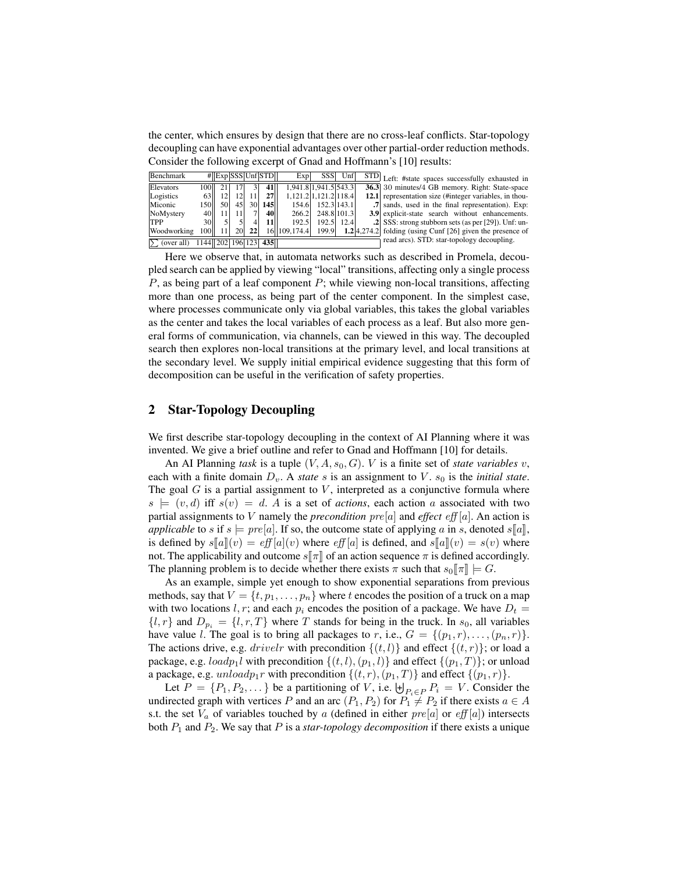the center, which ensures by design that there are no cross-leaf conflicts. Star-topology decoupling can have exponential advantages over other partial-order reduction methods. Consider the following excerpt of Gnad and Hoffmann's [10] results:

| Benchmark         |                              |    |                 |     | $\#$  Exp SSS Unf STD | Exp                   | SSSI              | Unf        | STD Left: #state spaces successfully exhausted in             |
|-------------------|------------------------------|----|-----------------|-----|-----------------------|-----------------------|-------------------|------------|---------------------------------------------------------------|
| Elevators         | 1001                         |    |                 |     | 41                    | 1.941.8 1.941.5 543.3 |                   |            | 36.3 30 minutes/4 GB memory. Right: State-space               |
| Logistics         | 63                           |    | 12 <sup>1</sup> |     | 27                    | 1.121.21.121.2118.4   |                   |            | 12.1 representation size (#integer variables, in thou-        |
| Miconic           | 15011                        | 50 | 45              | 30I | 145                   |                       | 154.6 152.3 143.1 |            | .7 sands, used in the final representation). Exp:             |
| NoMystery         | 401                          |    | 11              |     | 40                    | 266.2                 | 248.8 101.3       |            | <b>3.9</b> explicit-state search without enhancements.        |
| <b>TPP</b>        | 30I                          |    |                 |     | 11                    | 192.5                 |                   | 192.5 12.4 | .2 SSS: strong stubborn sets (as per [29]). Unf: un-          |
| Woodworking       | 100                          |    | 20              | 22  |                       | 16 109.174.4          | 199.9             |            | $1.2 4,274.2 $ folding (using Cunf [26] given the presence of |
| $\sum$ (over all) | 1144   202   196   123   435 |    |                 |     |                       |                       |                   |            | read arcs). STD: star-topology decoupling.                    |

Here we observe that, in automata networks such as described in Promela, decoupled search can be applied by viewing "local" transitions, affecting only a single process  $P$ , as being part of a leaf component  $P$ ; while viewing non-local transitions, affecting more than one process, as being part of the center component. In the simplest case, where processes communicate only via global variables, this takes the global variables as the center and takes the local variables of each process as a leaf. But also more general forms of communication, via channels, can be viewed in this way. The decoupled search then explores non-local transitions at the primary level, and local transitions at the secondary level. We supply initial empirical evidence suggesting that this form of decomposition can be useful in the verification of safety properties.

# 2 Star-Topology Decoupling

We first describe star-topology decoupling in the context of AI Planning where it was invented. We give a brief outline and refer to Gnad and Hoffmann [10] for details.

An AI Planning *task* is a tuple  $(V, A, s_0, G)$ . *V* is a finite set of *state variables v*, each with a finite domain  $D_v$ . A *state* s is an assignment to V.  $s_0$  is the *initial state*. The goal  $G$  is a partial assignment to  $V$ , interpreted as a conjunctive formula where  $s = (v, d)$  iff  $s(v) = d$ . A is a set of *actions*, each action a associated with two partial assignments to V namely the *precondition* pre[a] and *effect* eff [a]. An action is *applicable* to s if  $s \models pre[a]$ . If so, the outcome state of applying a in s, denoted s[a], is defined by  $s[a](v) = eff[a](v)$  where  $eff[a]$  is defined, and  $s[a](v) = s(v)$  where not. The applicability and outcome  $s[\![\pi]\!]$  of an action sequence  $\pi$  is defined accordingly. The planning problem is to decide whether there exists  $\pi$  such that  $s_0\llbracket \pi \rrbracket \models G$ .

As an example, simple yet enough to show exponential separations from previous methods, say that  $V = \{t, p_1, \ldots, p_n\}$  where t encodes the position of a truck on a map with two locations l, r; and each  $p_i$  encodes the position of a package. We have  $D_t =$  ${l, r}$  and  $D_{p_i} = {l, r, T}$  where T stands for being in the truck. In  $s_0$ , all variables have value *l*. The goal is to bring all packages to r, i.e.,  $G = \{(p_1, r), \ldots, (p_n, r)\}.$ The actions drive, e.g. *drivelr* with precondition  $\{(t, l)\}$  and effect  $\{(t, r)\}$ ; or load a package, e.g.  $loadp_1l$  with precondition  $\{(t, l), (p_1, l)\}$  and effect  $\{(p_1, T)\}$ ; or unload a package, e.g.  $unloadp_1r$  with precondition  $\{(t, r), (p_1, T)\}$  and effect  $\{(p_1, r)\}.$ 

Let  $P = \{P_1, P_2, \dots\}$  be a partitioning of V, i.e.  $\biguplus_{P_i \in P} P_i = V$ . Consider the undirected graph with vertices P and an arc  $(P_1, P_2)$  for  $P_1 \neq P_2$  if there exists  $a \in A$ s.t. the set  $V_a$  of variables touched by a (defined in either  $pre[a]$  or  $eff[a]$ ) intersects both  $P_1$  and  $P_2$ . We say that  $P$  is a *star-topology decomposition* if there exists a unique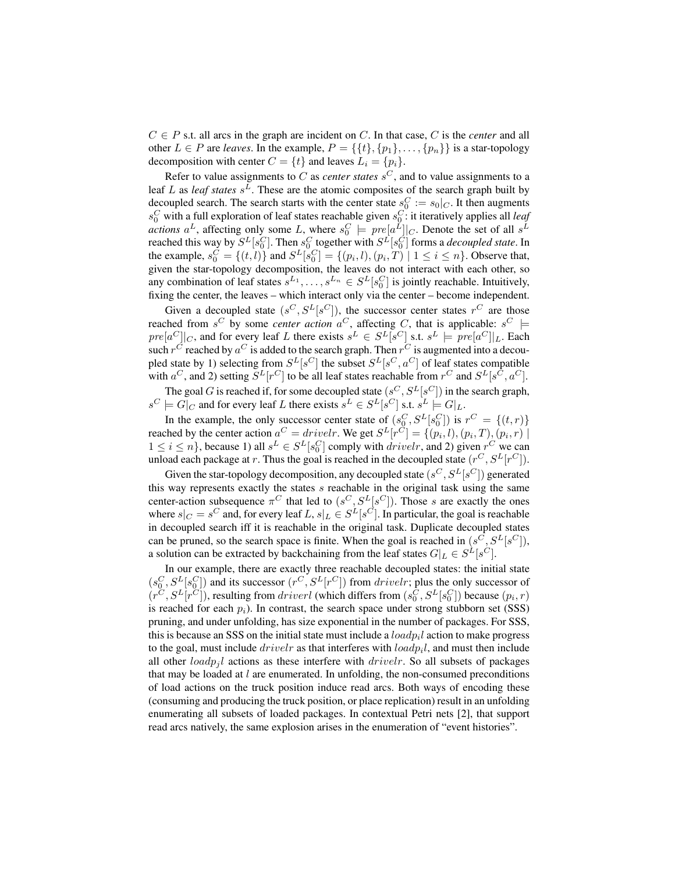$C \in P$  s.t. all arcs in the graph are incident on C. In that case, C is the *center* and all other  $L \in P$  are *leaves*. In the example,  $P = \{\{t\}, \{p_1\}, \ldots, \{p_n\}\}\$ is a star-topology decomposition with center  $C = \{t\}$  and leaves  $L_i = \{p_i\}.$ 

Refer to value assignments to  $C$  as *center states*  $s^C$ , and to value assignments to a leaf  $L$  as *leaf states*  $s^L$ . These are the atomic composites of the search graph built by decoupled search. The search starts with the center state  $s_0^C := s_0|_C$ . It then augments  $s_0^C$  with a full exploration of leaf states reachable given  $s_0^C$ : it iteratively applies all *leaf actions*  $a^L$ , affecting only some L, where  $s_0^C \models pre[a^L]|_C$ . Denote the set of all  $s^L$ reached this way by  $S^L[s_0^C]$ . Then  $s_0^C$  together with  $S^L[s_0^C]$  forms a *decoupled state*. In the example,  $s_0^C = \{(t, l)\}\$  and  $S^L[s_0^C] = \{(p_i, l), (p_i, T) \mid 1 \le i \le n\}$ . Observe that, given the star-topology decomposition, the leaves do not interact with each other, so any combination of leaf states  $s^{L_1}, \ldots, s^{L_n} \in S^L[s_0^C]$  is jointly reachable. Intuitively, fixing the center, the leaves – which interact only via the center – become independent.

Given a decoupled state  $(s^C, S^L[s^C])$ , the successor center states  $r^C$  are those reached from  $s^C$  by some *center action*  $a^C$ , affecting C, that is applicable:  $s^C$   $\models$  $pre[a^C]|_C$ , and for every leaf L there exists  $s^L \in S^L[s^C]$  s.t.  $s^L \models pre[a^C]|_L$ . Each such  $r^C$  reached by  $a^C$  is added to the search graph. Then  $r^C$  is augmented into a decoupled state by 1) selecting from  $S^L[s^C]$  the subset  $S^L[s^C, a^C]$  of leaf states compatible with  $a^C$ , and 2) setting  $S^L[r^C]$  to be all leaf states reachable from  $r^C$  and  $S^L[s^C, a^C]$ .

The goal G is reached if, for some decoupled state  $(s^C, S^L[s^C])$  in the search graph,  $s^C \models G|_C$  and for every leaf L there exists  $s^L \in S^L[s^C]$  s.t.  $s^L \models G|_L$ .

In the example, the only successor center state of  $(s_0^C, S^L[s_0^C])$  is  $r^C = \{(t, r)\}$ reached by the center action  $a^C = driver$ . We get  $S^L[r^C] = \{(p_i, l), (p_i, T), (p_i, r) \mid$  $1 \le i \le n$ , because 1) all  $s^L \in S^L[s_0^C]$  comply with  $\text{drivelr}$ , and 2) given  $r^C$  we can unload each package at r. Thus the goal is reached in the decoupled state  $(r^C, S^L[r^C])$ .

Given the star-topology decomposition, any decoupled state  $(s^C, S^L[s^C])$  generated this way represents exactly the states  $s$  reachable in the original task using the same center-action subsequence  $\pi^C$  that led to  $(s^C, S^L[s^C])$ . Those s are exactly the ones where  $s|_C = s^C$  and, for every leaf  $L, s|_L \in S^L[s^C]$ . In particular, the goal is reachable in decoupled search iff it is reachable in the original task. Duplicate decoupled states can be pruned, so the search space is finite. When the goal is reached in  $(s^C, S^L[s^C])$ , a solution can be extracted by backchaining from the leaf states  $G|_L \in S^L[s^C]$ .

In our example, there are exactly three reachable decoupled states: the initial state  $(s_0^C, S^L[s_0^C])$  and its successor  $(r^C, S^L[r^C])$  from *drivelr*; plus the only successor of  $(r^C, S^L[r^C])$ , resulting from  $driverl$  (which differs from  $(s_0^C, S^L[s_0^C])$  because  $(p_i, r)$ is reached for each  $p_i$ ). In contrast, the search space under strong stubborn set (SSS) pruning, and under unfolding, has size exponential in the number of packages. For SSS, this is because an SSS on the initial state must include a  $loadp<sub>i</sub>l$  action to make progress to the goal, must include  $drivelr$  as that interferes with  $loadp<sub>i</sub>l$ , and must then include all other  $loadp<sub>i</sub>l$  actions as these interfere with  $drivelr$ . So all subsets of packages that may be loaded at  $l$  are enumerated. In unfolding, the non-consumed preconditions of load actions on the truck position induce read arcs. Both ways of encoding these (consuming and producing the truck position, or place replication) result in an unfolding enumerating all subsets of loaded packages. In contextual Petri nets [2], that support read arcs natively, the same explosion arises in the enumeration of "event histories".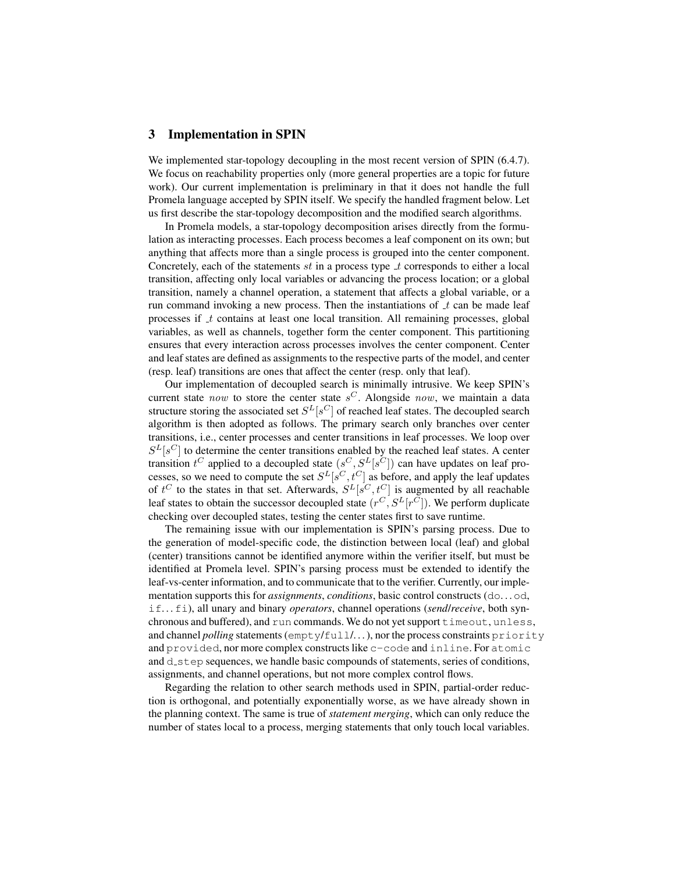#### 3 Implementation in SPIN

We implemented star-topology decoupling in the most recent version of SPIN (6.4.7). We focus on reachability properties only (more general properties are a topic for future work). Our current implementation is preliminary in that it does not handle the full Promela language accepted by SPIN itself. We specify the handled fragment below. Let us first describe the star-topology decomposition and the modified search algorithms.

In Promela models, a star-topology decomposition arises directly from the formulation as interacting processes. Each process becomes a leaf component on its own; but anything that affects more than a single process is grouped into the center component. Concretely, each of the statements  $st$  in a process type  $\pm t$  corresponds to either a local transition, affecting only local variables or advancing the process location; or a global transition, namely a channel operation, a statement that affects a global variable, or a run command invoking a new process. Then the instantiations of  $\tau$  can be made leaf processes if  $t$  contains at least one local transition. All remaining processes, global variables, as well as channels, together form the center component. This partitioning ensures that every interaction across processes involves the center component. Center and leaf states are defined as assignments to the respective parts of the model, and center (resp. leaf) transitions are ones that affect the center (resp. only that leaf).

Our implementation of decoupled search is minimally intrusive. We keep SPIN's current state now to store the center state  $s^C$ . Alongside now, we maintain a data structure storing the associated set  $S^L[s^C]$  of reached leaf states. The decoupled search algorithm is then adopted as follows. The primary search only branches over center transitions, i.e., center processes and center transitions in leaf processes. We loop over  $S^L[s^C]$  to determine the center transitions enabled by the reached leaf states. A center transition  $t^C$  applied to a decoupled state  $(s^C, S^L[s^C])$  can have updates on leaf processes, so we need to compute the set  $S^L[s^C, t^C]$  as before, and apply the leaf updates of  $t^C$  to the states in that set. Afterwards,  $S^L[s^C, t^C]$  is augmented by all reachable leaf states to obtain the successor decoupled state  $(r^C, S^L[r^C])$ . We perform duplicate checking over decoupled states, testing the center states first to save runtime.

The remaining issue with our implementation is SPIN's parsing process. Due to the generation of model-specific code, the distinction between local (leaf) and global (center) transitions cannot be identified anymore within the verifier itself, but must be identified at Promela level. SPIN's parsing process must be extended to identify the leaf-vs-center information, and to communicate that to the verifier. Currently, our implementation supports this for *assignments*, *conditions*, basic control constructs (do. . .od, if. . .fi), all unary and binary *operators*, channel operations (*send*/*receive*, both synchronous and buffered), and run commands. We do not yet support timeout, unless, and channel *polling* statements (empty/full/...), nor the process constraints priority and provided, nor more complex constructs like c-code and inline. For atomic and d\_step sequences, we handle basic compounds of statements, series of conditions, assignments, and channel operations, but not more complex control flows.

Regarding the relation to other search methods used in SPIN, partial-order reduction is orthogonal, and potentially exponentially worse, as we have already shown in the planning context. The same is true of *statement merging*, which can only reduce the number of states local to a process, merging statements that only touch local variables.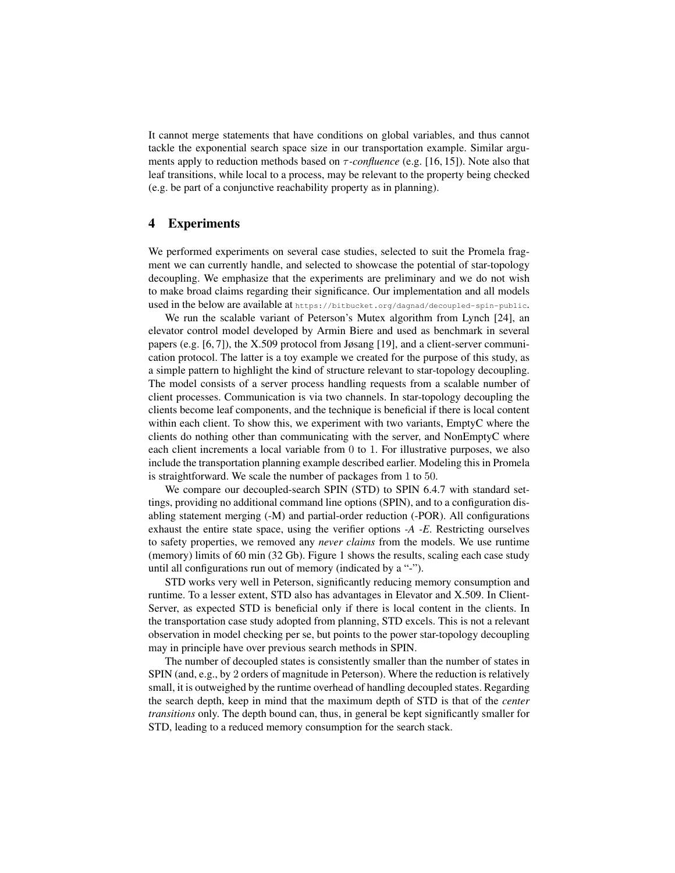It cannot merge statements that have conditions on global variables, and thus cannot tackle the exponential search space size in our transportation example. Similar arguments apply to reduction methods based on τ *-confluence* (e.g. [16, 15]). Note also that leaf transitions, while local to a process, may be relevant to the property being checked (e.g. be part of a conjunctive reachability property as in planning).

# 4 Experiments

We performed experiments on several case studies, selected to suit the Promela fragment we can currently handle, and selected to showcase the potential of star-topology decoupling. We emphasize that the experiments are preliminary and we do not wish to make broad claims regarding their significance. Our implementation and all models used in the below are available at https://bitbucket.org/dagnad/decoupled-spin-public.

We run the scalable variant of Peterson's Mutex algorithm from Lynch [24], an elevator control model developed by Armin Biere and used as benchmark in several papers (e.g. [6, 7]), the X.509 protocol from Jøsang [19], and a client-server communication protocol. The latter is a toy example we created for the purpose of this study, as a simple pattern to highlight the kind of structure relevant to star-topology decoupling. The model consists of a server process handling requests from a scalable number of client processes. Communication is via two channels. In star-topology decoupling the clients become leaf components, and the technique is beneficial if there is local content within each client. To show this, we experiment with two variants, EmptyC where the clients do nothing other than communicating with the server, and NonEmptyC where each client increments a local variable from 0 to 1. For illustrative purposes, we also include the transportation planning example described earlier. Modeling this in Promela is straightforward. We scale the number of packages from 1 to 50.

We compare our decoupled-search SPIN (STD) to SPIN 6.4.7 with standard settings, providing no additional command line options (SPIN), and to a configuration disabling statement merging (-M) and partial-order reduction (-POR). All configurations exhaust the entire state space, using the verifier options *-A -E*. Restricting ourselves to safety properties, we removed any *never claims* from the models. We use runtime (memory) limits of 60 min (32 Gb). Figure 1 shows the results, scaling each case study until all configurations run out of memory (indicated by a "-").

STD works very well in Peterson, significantly reducing memory consumption and runtime. To a lesser extent, STD also has advantages in Elevator and X.509. In Client-Server, as expected STD is beneficial only if there is local content in the clients. In the transportation case study adopted from planning, STD excels. This is not a relevant observation in model checking per se, but points to the power star-topology decoupling may in principle have over previous search methods in SPIN.

The number of decoupled states is consistently smaller than the number of states in SPIN (and, e.g., by 2 orders of magnitude in Peterson). Where the reduction is relatively small, it is outweighed by the runtime overhead of handling decoupled states. Regarding the search depth, keep in mind that the maximum depth of STD is that of the *center transitions* only. The depth bound can, thus, in general be kept significantly smaller for STD, leading to a reduced memory consumption for the search stack.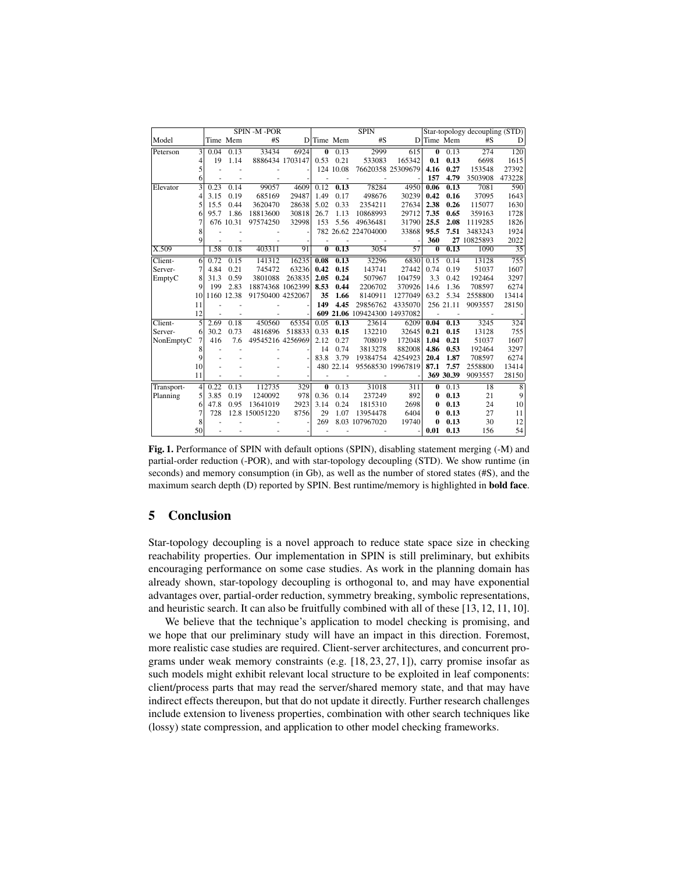|            |                |      |            | SPIN-M-POR       |        |                |            | <b>SPIN</b>                  |                   | Star-topology decoupling (STD) |           |             |                 |
|------------|----------------|------|------------|------------------|--------|----------------|------------|------------------------------|-------------------|--------------------------------|-----------|-------------|-----------------|
| Model      |                |      | Time Mem   | #S               |        |                | D Time Mem | #S                           | D                 |                                | Time Mem  | #S          | $\mathbf{D}$    |
| Peterson   | $\overline{3}$ | 0.04 | 0.13       | 33434            | 6924   | $\overline{0}$ | 0.13       | 2999                         | 615               | $\overline{0}$                 | 0.13      | 274         | 120             |
|            | 4              | 19   | 1.14       | 8886434 1703147  |        | 0.53           | 0.21       | 533083                       | 165342            | 0.1                            | 0.13      | 6698        | 1615            |
|            | 5              |      |            |                  |        |                | 124 10.08  |                              | 76620358 25309679 | 4.16                           | 0.27      | 153548      | 27392           |
|            | 6              |      |            |                  |        |                |            |                              |                   | 157                            | 4.79      | 3503908     | 473228          |
| Elevator   | 3              | 0.23 | 0.14       | 99057            | 4609   | 0.12           | 0.13       | 78284                        | 4950              | 0.06                           | 0.13      | 7081        | 590             |
|            | $\overline{4}$ | 3.15 | 0.19       | 685169           | 29487  | 1.49           | 0.17       | 498676                       | 30239             | 0.42                           | 0.16      | 37095       | 1643            |
|            | 5              | 15.5 | 0.44       | 3620470          | 28638  | 5.02           | 0.33       | 2354211                      | 27634             | 2.38                           | 0.26      | 115077      | 1630            |
|            | 6              | 95.7 | 1.86       | 18813600         | 30818  | 26.7           | 1.13       | 10868993                     | 29712             | 7.35                           | 0.65      | 359163      | 1728            |
|            | 7              |      | 676 10.31  | 97574250         | 32998  | 153            | 5.56       | 49636481                     | 31790             | 25.5                           | 2.08      | 1119285     | 1826            |
|            | 8              |      |            |                  |        |                |            | 782 26.62 224704000          | 33868             | 95.5                           | 7.51      | 3483243     | 1924            |
|            | 9              |      |            |                  |        |                |            |                              |                   | 360                            |           | 27 10825893 | 2022            |
| X.509      |                | 1.58 | 0.18       | 403311           | 91     | $\bf{0}$       | 0.13       | 3054                         | 57                | $\bf{0}$                       | 0.13      | 1090        | $\overline{35}$ |
| Client-    | 6 <sup>1</sup> | 0.72 | 0.15       | 141312           | 16235  | 0.08           | 0.13       | 32296                        | 6830              | 0.15                           | 0.14      | 13128       | 755             |
| Server-    | 7              | 4.84 | 0.21       | 745472           | 63236  | 0.42           | 0.15       | 143741                       | 27442             | 0.74                           | 0.19      | 51037       | 1607            |
| EmptyC     | 8              | 31.3 | 0.59       | 3801088          | 263835 | 2.05           | 0.24       | 507967                       | 104759            | 3.3                            | 0.42      | 192464      | 3297            |
|            | 9              | 199  | 2.83       | 18874368 1062399 |        | 8.53           | 0.44       | 2206702                      | 370926            | 14.6                           | 1.36      | 708597      | 6274            |
|            | 10             |      | 1160 12.38 | 91750400 4252067 |        | 35             | 1.66       | 8140911                      | 1277049           | 63.2                           | 5.34      | 2558800     | 13414           |
|            | 11             |      |            |                  |        | 149            | 4.45       | 29856762                     | 4335070           |                                | 256 21.11 | 9093557     | 28150           |
|            | 12             |      |            |                  |        |                |            | 609 21.06 109424300 14937082 |                   |                                |           |             |                 |
| Client-    | $\overline{5}$ | 2.69 | 0.18       | 450560           | 65354  | 0.05           | 0.13       | 23614                        | 6209              | 0.04                           | 0.13      | 3245        | 324             |
| Server-    | 6              | 30.2 | 0.73       | 4816896          | 518833 | 0.33           | 0.15       | 132210                       | 32645             | 0.21                           | 0.15      | 13128       | 755             |
| NonEmptyC  | 7              | 416  | 7.6        | 49545216 4256969 |        | 2.12           | 0.27       | 708019                       | 172048            | 1.04                           | 0.21      | 51037       | 1607            |
|            | 8              |      |            |                  |        | 14             | 0.74       | 3813278                      | 882008            | 4.86                           | 0.53      | 192464      | 3297            |
|            | 9              |      |            |                  |        | 83.8           | 3.79       | 19384754                     | 4254923           | 20.4                           | 1.87      | 708597      | 6274            |
|            | 10             |      |            |                  |        |                | 480 22.14  | 95568530 19967819            |                   | 87.1                           | 7.57      | 2558800     | 13414           |
|            | 11             |      |            |                  |        | ÷,             |            |                              |                   |                                | 369 30.39 | 9093557     | 28150           |
| Transport- | $\overline{4}$ | 0.22 | 0.13       | 112735           | 329    | $\overline{0}$ | 0.13       | 31018                        | $\overline{311}$  | 0                              | 0.13      | 18          | $\overline{8}$  |
| Planning   | 5              | 3.85 | 0.19       | 1240092          | 978    | 0.36           | 0.14       | 237249                       | 892               | 0                              | 0.13      | 21          | 9               |
|            | 6              | 47.8 | 0.95       | 13641019         | 2923   | 3.14           | 0.24       | 1815310                      | 2698              | 0                              | 0.13      | 24          | 10 <sup>1</sup> |
|            | 7              | 728  |            | 12.8 150051220   | 8756   | 29             | 1.07       | 13954478                     | 6404              | 0                              | 0.13      | 27          | 11              |
|            | 8              |      |            |                  |        | 269            |            | 8.03 107967020               | 19740             | 0                              | 0.13      | 30          | 12              |
|            | 50             |      |            |                  | ۰      |                |            |                              |                   | 0.01                           | 0.13      | 156         | 54              |

Fig. 1. Performance of SPIN with default options (SPIN), disabling statement merging (-M) and partial-order reduction (-POR), and with star-topology decoupling (STD). We show runtime (in seconds) and memory consumption (in Gb), as well as the number of stored states (#S), and the maximum search depth (D) reported by SPIN. Best runtime/memory is highlighted in bold face.

# 5 Conclusion

Star-topology decoupling is a novel approach to reduce state space size in checking reachability properties. Our implementation in SPIN is still preliminary, but exhibits encouraging performance on some case studies. As work in the planning domain has already shown, star-topology decoupling is orthogonal to, and may have exponential advantages over, partial-order reduction, symmetry breaking, symbolic representations, and heuristic search. It can also be fruitfully combined with all of these [13, 12, 11, 10].

We believe that the technique's application to model checking is promising, and we hope that our preliminary study will have an impact in this direction. Foremost, more realistic case studies are required. Client-server architectures, and concurrent programs under weak memory constraints (e.g. [18, 23, 27, 1]), carry promise insofar as such models might exhibit relevant local structure to be exploited in leaf components: client/process parts that may read the server/shared memory state, and that may have indirect effects thereupon, but that do not update it directly. Further research challenges include extension to liveness properties, combination with other search techniques like (lossy) state compression, and application to other model checking frameworks.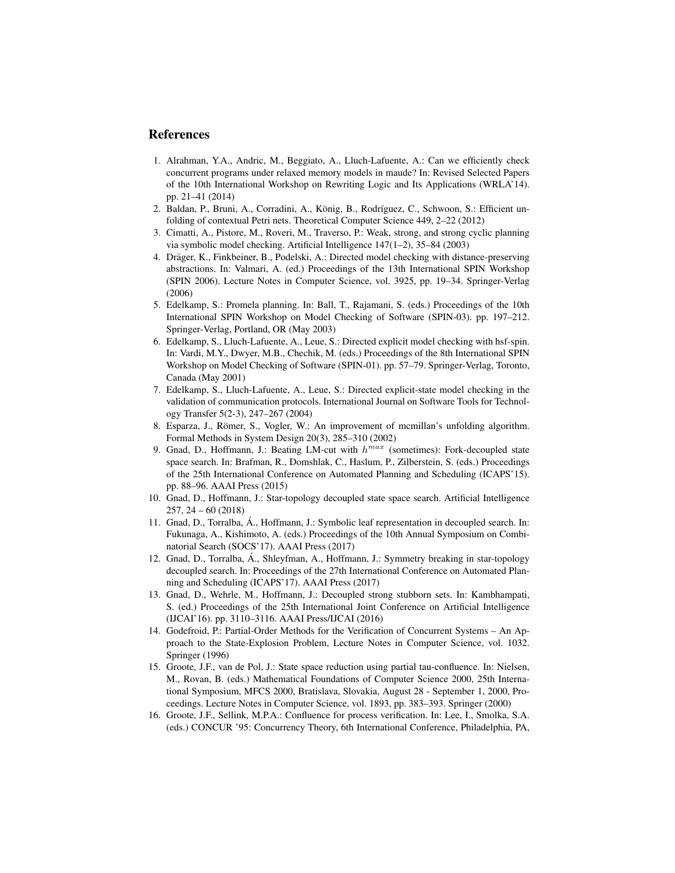# References

- 1. Alrahman, Y.A., Andric, M., Beggiato, A., Lluch-Lafuente, A.: Can we efficiently check concurrent programs under relaxed memory models in maude? In: Revised Selected Papers of the 10th International Workshop on Rewriting Logic and Its Applications (WRLA'14). pp. 21–41 (2014)
- 2. Baldan, P., Bruni, A., Corradini, A., König, B., Rodríguez, C., Schwoon, S.: Efficient unfolding of contextual Petri nets. Theoretical Computer Science 449, 2–22 (2012)
- 3. Cimatti, A., Pistore, M., Roveri, M., Traverso, P.: Weak, strong, and strong cyclic planning via symbolic model checking. Artificial Intelligence 147(1–2), 35–84 (2003)
- 4. Dräger, K., Finkbeiner, B., Podelski, A.: Directed model checking with distance-preserving abstractions. In: Valmari, A. (ed.) Proceedings of the 13th International SPIN Workshop (SPIN 2006). Lecture Notes in Computer Science, vol. 3925, pp. 19–34. Springer-Verlag (2006)
- 5. Edelkamp, S.: Promela planning. In: Ball, T., Rajamani, S. (eds.) Proceedings of the 10th International SPIN Workshop on Model Checking of Software (SPIN-03). pp. 197–212. Springer-Verlag, Portland, OR (May 2003)
- 6. Edelkamp, S., Lluch-Lafuente, A., Leue, S.: Directed explicit model checking with hsf-spin. In: Vardi, M.Y., Dwyer, M.B., Chechik, M. (eds.) Proceedings of the 8th International SPIN Workshop on Model Checking of Software (SPIN-01). pp. 57–79. Springer-Verlag, Toronto, Canada (May 2001)
- 7. Edelkamp, S., Lluch-Lafuente, A., Leue, S.: Directed explicit-state model checking in the validation of communication protocols. International Journal on Software Tools for Technology Transfer 5(2-3), 247–267 (2004)
- 8. Esparza, J., Römer, S., Vogler, W.: An improvement of mcmillan's unfolding algorithm. Formal Methods in System Design 20(3), 285–310 (2002)
- 9. Gnad, D., Hoffmann, J.: Beating LM-cut with  $h^{max}$  (sometimes): Fork-decoupled state space search. In: Brafman, R., Domshlak, C., Haslum, P., Zilberstein, S. (eds.) Proceedings of the 25th International Conference on Automated Planning and Scheduling (ICAPS'15). pp. 88–96. AAAI Press (2015)
- 10. Gnad, D., Hoffmann, J.: Star-topology decoupled state space search. Artificial Intelligence 257, 24 – 60 (2018)
- 11. Gnad, D., Torralba, A., Hoffmann, J.: Symbolic leaf representation in decoupled search. In: ´ Fukunaga, A., Kishimoto, A. (eds.) Proceedings of the 10th Annual Symposium on Combinatorial Search (SOCS'17). AAAI Press (2017)
- 12. Gnad, D., Torralba, A., Shleyfman, A., Hoffmann, J.: Symmetry breaking in star-topology ´ decoupled search. In: Proceedings of the 27th International Conference on Automated Planning and Scheduling (ICAPS'17). AAAI Press (2017)
- 13. Gnad, D., Wehrle, M., Hoffmann, J.: Decoupled strong stubborn sets. In: Kambhampati, S. (ed.) Proceedings of the 25th International Joint Conference on Artificial Intelligence (IJCAI'16). pp. 3110–3116. AAAI Press/IJCAI (2016)
- 14. Godefroid, P.: Partial-Order Methods for the Verification of Concurrent Systems An Approach to the State-Explosion Problem, Lecture Notes in Computer Science, vol. 1032. Springer (1996)
- 15. Groote, J.F., van de Pol, J.: State space reduction using partial tau-confluence. In: Nielsen, M., Rovan, B. (eds.) Mathematical Foundations of Computer Science 2000, 25th International Symposium, MFCS 2000, Bratislava, Slovakia, August 28 - September 1, 2000, Proceedings. Lecture Notes in Computer Science, vol. 1893, pp. 383–393. Springer (2000)
- 16. Groote, J.F., Sellink, M.P.A.: Confluence for process verification. In: Lee, I., Smolka, S.A. (eds.) CONCUR '95: Concurrency Theory, 6th International Conference, Philadelphia, PA,